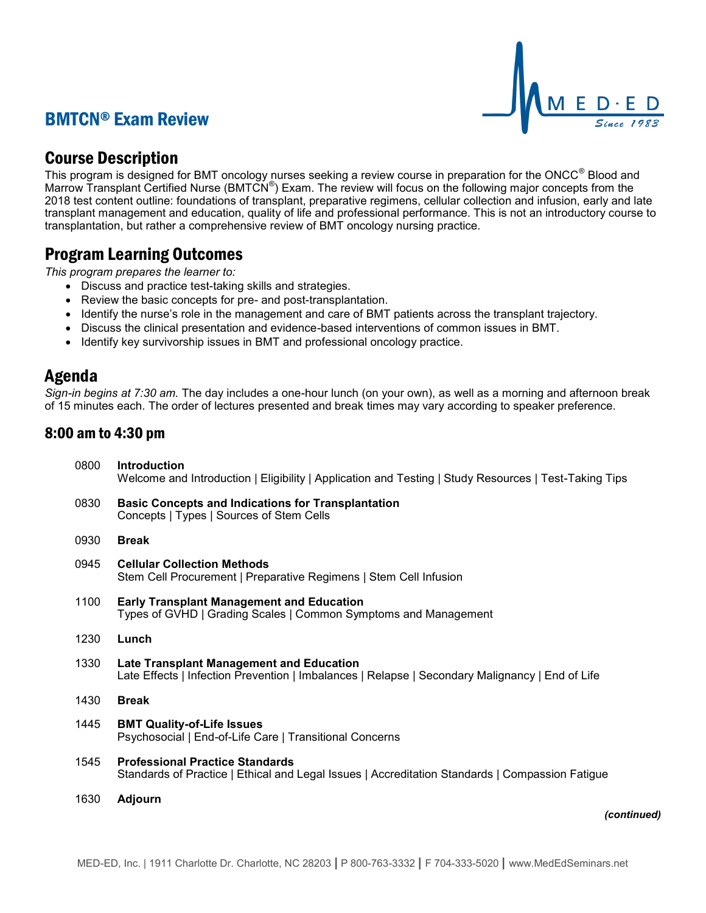# BMTCN® Exam Review



# Course Description

This program is designed for BMT oncology nurses seeking a review course in preparation for the ONCC® Blood and Marrow Transplant Certified Nurse (BMTCN®) Exam. The review will focus on the following major concepts from the 2018 test content outline: foundations of transplant, preparative regimens, cellular collection and infusion, early and late transplant management and education, quality of life and professional performance. This is not an introductory course to transplantation, but rather a comprehensive review of BMT oncology nursing practice.

# Program Learning Outcomes

*This program prepares the learner to:*

- Discuss and practice test-taking skills and strategies.
- Review the basic concepts for pre- and post-transplantation.
- Identify the nurse's role in the management and care of BMT patients across the transplant trajectory.
- Discuss the clinical presentation and evidence-based interventions of common issues in BMT.
- Identify key survivorship issues in BMT and professional oncology practice.

## Agenda

*Sign-in begins at 7:30 am.* The day includes a one-hour lunch (on your own), as well as a morning and afternoon break of 15 minutes each. The order of lectures presented and break times may vary according to speaker preference.

## 8:00 am to 4:30 pm

| 0800 | <b>Introduction</b><br>Welcome and Introduction   Eligibility   Application and Testing   Study Resources   Test-Taking Tips                       |
|------|----------------------------------------------------------------------------------------------------------------------------------------------------|
| 0830 | <b>Basic Concepts and Indications for Transplantation</b><br>Concepts   Types   Sources of Stem Cells                                              |
| 0930 | <b>Break</b>                                                                                                                                       |
| 0945 | <b>Cellular Collection Methods</b><br>Stem Cell Procurement   Preparative Regimens   Stem Cell Infusion                                            |
| 1100 | <b>Early Transplant Management and Education</b><br>Types of GVHD   Grading Scales   Common Symptoms and Management                                |
| 1230 | Lunch                                                                                                                                              |
| 1330 | <b>Late Transplant Management and Education</b><br>Late Effects   Infection Prevention   Imbalances   Relapse   Secondary Malignancy   End of Life |
| 1430 | <b>Break</b>                                                                                                                                       |
| 1445 | <b>BMT Quality-of-Life Issues</b><br>Psychosocial   End-of-Life Care   Transitional Concerns                                                       |
| 1545 | <b>Professional Practice Standards</b><br>Standards of Practice   Ethical and Legal Issues   Accreditation Standards   Compassion Fatigue          |
| 1630 | <b>Adjourn</b>                                                                                                                                     |
|      |                                                                                                                                                    |